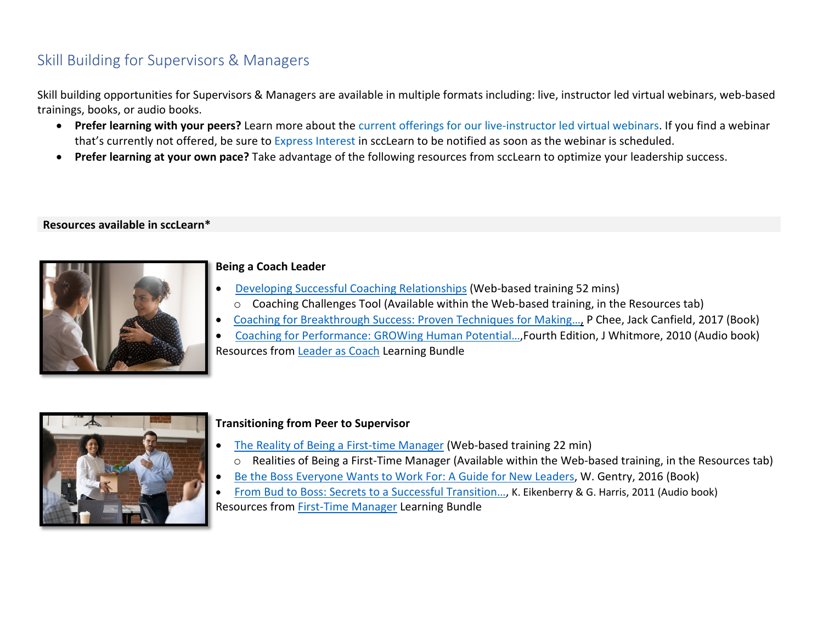# Skill Building for Supervisors & Managers

Skill building opportunities for Supervisors & Managers are available in multiple formats including: live, instructor led virtual webinars, web-based trainings, books, or audio books.

- **Prefer learning with your peers?** Learn more about the current offerings [for our live-instructor led](https://files.sccgov.org/bc-entlearningdocs/LEDWebinars.pdf) virtual webinars. If you find a webinar that's currently not offered, be sure to [Express Interest](https://learning.sccgov.org/scclearn-resources) in sccLearn to be notified as soon as the webinar is scheduled.
- **Prefer learning at your own pace?** Take advantage of the following resources from sccLearn to optimize your leadership success.

#### **Resources available in sccLearn\***



#### **Being a Coach Leader**

- [Developing Successful Coaching Relationships](https://scclearn.sumtotal.host/Core/pillarRedirect?relyingParty=LM&url=core%2Factivitydetails%2FViewActivityDetails%3FActivityId%3D90250%26UserMode%3D0) (Web-based training 52 mins)
- o Coaching Challenges Tool (Available within the Web-based training, in the Resources tab)
- [Coaching for Breakthrough Success: Proven Techniques for Making…,](https://scclearn.sumtotal.host/Core/pillarRedirect?relyingParty=LM&url=core%2Factivitydetails%2FViewActivityDetails%3FActivityId%3D90462%26UserMode%3D0) P Chee, Jack Canfield, 2017 (Book)
- [Coaching for Performance: GROWing Human Potential…,](https://scclearn.sumtotal.host/Core/pillarRedirect?relyingParty=LM&url=core%2Factivitydetails%2FViewActivityDetails%3FActivityId%3D96361%26UserMode%3D0)Fourth Edition, J Whitmore, 2010 (Audio book) Resources from [Leader as Coach](https://scclearn.sumtotal.host/Core/pillarRedirect?relyingParty=LM&url=https:%2F%2Fscclearn.sumtotal.host%2Flearning%2Fcore%2Factivitydetails%2FViewActivityDetails%3FUserMode%3D0%26ActivityId%3D100534%26ClassUnderStruct%3DFalse%26CallerUrl%3D%2Flearning%2Flearner%2FHome%2FGoToPortal%3Fkey%3D0%26SearchCallerURL%3Dhttps%253A%252F%252Fscclearn.sumtotal.host%252Fcore%252FsearchRedirect%253FViewType%253DList%2526SearchText%253Dcoaching%2526Filters%253D%25257BActivityType_facet_en_us%25253DWeb%25252520Based%25252520Training%25252CActivityType_facet_en_us%25253DBundle%25257D%2526startRow%253D0%26SearchCallerID%3D2) Learning Bundle



#### **Transitioning from Peer to Supervisor**

- [The Reality of Being a First-time Manager](https://scclearn.sumtotal.host/Core/pillarRedirect?relyingParty=LM&url=https:%2F%2Fscclearn.sumtotal.host%2Flearning%2Fcore%2Factivitydetails%2FViewActivityDetails%3FUserMode%3D0%26ActivityId%3D85717%26ClassUnderStruct%3DFalse%26CallerUrl%3D%2Flearning%2Flearner%2FHome%2FGoToPortal%3Fkey%3D0%26SearchCallerURL%3Dhttps%253A%252F%252Fscclearn.sumtotal.host%252Fcore%252FsearchRedirect%253FViewType%253DList%2526SearchText%253Dthe%25252520realities%25252520of%25252520being%25252520a%25252520first%25252520time%25252520manager%2526startRow%253D0%26SearchCallerID%3D2) (Web-based training 22 min) o Realities of Being a First-Time Manager (Available within the Web-based training, in the Resources tab)
- [Be the Boss Everyone Wants to Work For: A Guide for New Leaders,](https://scclearn.sumtotal.host/Core/pillarRedirect?relyingParty=LM&url=https:%2F%2Fscclearn.sumtotal.host%2Flearning%2Fcore%2Factivitydetails%2FViewActivityDetails%3FUserMode%3D0%26ActivityId%3D84070%26ClassUnderStruct%3DFalse%26CallerUrl%3D%2Flearning%2Flearner%2FHome%2FGoToPortal%3Fkey%3D0%26SearchCallerURL%3Dhttps%253A%252F%252Fscclearn.sumtotal.host%252Fcore%252FsearchRedirect%253FViewType%253DList%2526SearchText%253DBe%25252520the%25252520Boss%25252520Everyone%25252520Wants%25252520to%25252520Work%25252520For%2525253A%25252520A%25252520Guide%25252520for%25252520New%25252520Leaders%2526startRow%253D0%26SearchCallerID%3D2) W. Gentry, 2016 (Book)
- [From Bud to Boss: Secrets to a Successful Transition…,](https://scclearn.sumtotal.host/Core/pillarRedirect?relyingParty=LM&url=https:%2F%2Fscclearn.sumtotal.host%2Flearning%2Fcore%2Factivitydetails%2FViewActivityDetails%3FUserMode%3D0%26ActivityId%3D90944%26ClassUnderStruct%3DFalse%26CallerUrl%3D%2Flearning%2Flearner%2FHome%2FGoToPortal%3Fkey%3D0%26SearchCallerURL%3Dhttps%253A%252F%252Fscclearn.sumtotal.host%252Fcore%252FsearchRedirect%253FViewType%253DList%2526SearchText%253Dfrom%25252520bud%25252520to%25252520boss%2525253A%25252520secrets%25252520to%25252520a%25252520successful%25252520transition%25252520to%25252520remarkable%25252520leadership%2526startRow%253D0%26SearchCallerID%3D2) K. Eikenberry & G. Harris, 2011 (Audio book) Resources from [First-Time Manager](https://scclearn.sumtotal.host/Core/pillarRedirect?relyingParty=LM&url=https:%2F%2Fscclearn.sumtotal.host%2Flearning%2Fcore%2Factivitydetails%2FViewActivityDetails%3FUserMode%3D0%26ActivityId%3D100140%26ClassUnderStruct%3DFalse%26CallerUrl%3D%2Flearning%2Flearner%2FHome%2FGoToPortal%3Fkey%3D0%26SearchCallerURL%3Dhttps%253A%252F%252Fscclearn.sumtotal.host%252Fcore%252FsearchRedirect%253FViewType%253DList%2526SearchText%253Dfirst%25252520time%25252520manager%2526startRow%253D0%26SearchCallerID%3D2) Learning Bundle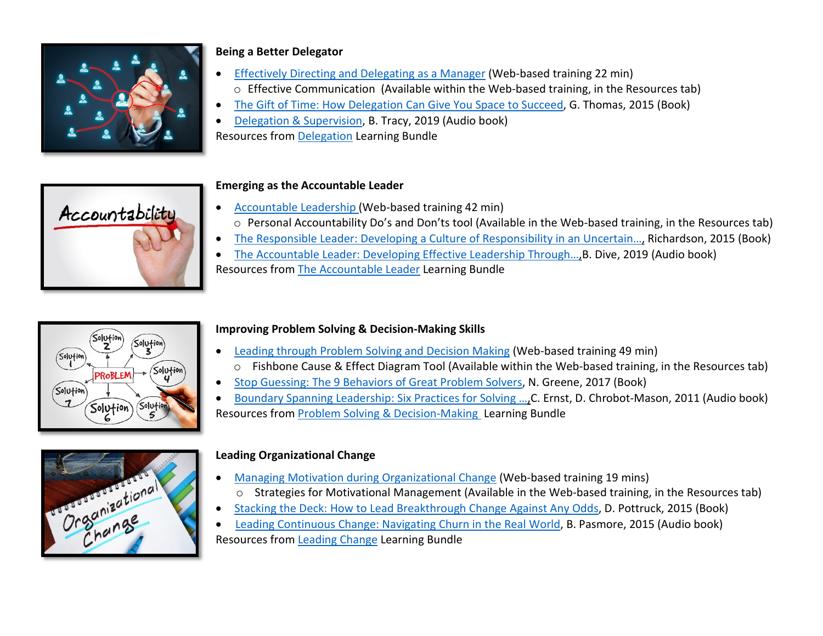

# **Being a Better Delegator**

- [Effectively Directing and Delegating as a Manager](https://scclearn.sumtotal.host/Core/pillarRedirect?relyingParty=LM&url=https:%2F%2Fscclearn.sumtotal.host%2Flearning%2Fcore%2Factivitydetails%2FViewActivityDetails%3FUserMode%3D0%26ActivityId%3D85728%26ClassUnderStruct%3DFalse%26CallerUrl%3D%2Flearning%2Flearner%2FHome%2FGoToPortal%3Fkey%3D0%26SearchCallerURL%3Dhttps%253A%252F%252Fscclearn.sumtotal.host%252Fcore%252FsearchRedirect%253FViewType%253DList%2526SearchText%253Deffectively%25252520directing%25252520and%25252520delegating%25252520as%25252520a%25252520manager%2526startRow%253D0%26SearchCallerID%3D2) (Web-based training 22 min) o Effective Communication (Available within the Web-based training, in the Resources tab)
- [The Gift of Time: How Delegation Can Give You Space to Succeed,](https://scclearn.sumtotal.host/core/pillarRedirect?relyingParty=LM&url=https:%2F%2Fscclearn.sumtotal.host%2Flearning%2Fcore%2Factivitydetails%2FViewActivityDetails%3FUserMode%3D0%26ActivityId%3D81600%26ClassUnderStruct%3DFalse%26CallerUrl%3D%2Flearning%2Flearner%2FHome%2FGoToPortal%3Fkey%3D0%26SearchCallerURL%3Dhttps%253A%252F%252Fscclearn.sumtotal.host%252Fcore%252FsearchRedirect%253FViewType%253DList%2526SearchText%253Dthe%25252520gift%25252520of%25252520time%2525253A%25252520how%25252520delegation%25252520can%25252520give%25252520you%25252520space%25252520to%25252520succeed%2526startRow%253D0%26SearchCallerID%3D2) G. Thomas, 2015 (Book)
- [Delegation & Supervision,](https://scclearn.sumtotal.host/core/pillarRedirect?relyingParty=LM&url=https:%2F%2Fscclearn.sumtotal.host%2Flearning%2Fcore%2Factivitydetails%2FViewActivityDetails%3FUserMode%3D0%26ActivityId%3D85937%26ClassUnderStruct%3DFalse%26CallerUrl%3D%2Flearning%2Flearner%2FHome%2FGoToPortal%3Fkey%3D0%26SearchCallerURL%3Dhttps%253A%252F%252Fscclearn.sumtotal.host%252Fcore%252FsearchRedirect%253FViewType%253DList%2526SearchText%253Ddelegtion%25252520and%25252520supervision%2526startRow%253D0%26SearchCallerID%3D2) B. Tracy, 2019 (Audio book) Resources from [Delegation](https://scclearn.sumtotal.host/Core/pillarRedirect?relyingParty=LM&url=https:%2F%2Fscclearn.sumtotal.host%2Flearning%2Fcore%2Factivitydetails%2FViewActivityDetails%3FUserMode%3D0%26ActivityId%3D100143%26ClassUnderStruct%3DFalse%26CallerUrl%3D%2Flearning%2Flearner%2FHome%2FGoToPortal%3Fkey%3D0%26SearchCallerURL%3Dhttps%253A%252F%252Fscclearn.sumtotal.host%252Fcore%252FsearchRedirect%253FViewType%253DList%2526SearchText%253Ddelegation%25252520bundle%2526startRow%253D0%26SearchCallerID%3D2) Learning Bundle



# **Emerging as the Accountable Leader**

- [Accountable Leadership](https://scclearn.sumtotal.host/Core/pillarRedirect?relyingParty=LM&url=core%2Factivitydetails%2FViewActivityDetails%3FActivityId%3D92325%26UserMode%3D0) (Web-based training 42 min) o Personal Accountability Do's and Don'ts tool (Available in the Web-based training, in the Resources tab)
- [The Responsible Leader: Developing a Culture of Responsibility in an Uncertain…,](https://scclearn.sumtotal.host/Core/pillarRedirect?relyingParty=LM&url=core%2Factivitydetails%2FViewActivityDetails%3FActivityId%3D80928%26UserMode%3D0) Richardson, 2015 (Book)
- [The Accountable Leader: Developing Effective Leadership Through…,B](https://scclearn.sumtotal.host/Core/pillarRedirect?relyingParty=LM&url=core%2Factivitydetails%2FViewActivityDetails%3FActivityId%3D95669%26UserMode%3D0). Dive, 2019 (Audio book)
- Resources from [The Accountable Leader](https://scclearn.sumtotal.host/Core/pillarRedirect?relyingParty=LM&url=core%2Factivitydetails%2FViewActivityDetails%3FActivityId%3D100543%26UserMode%3D0) Learning Bundle



# **Improving Problem Solving & Decision-Making Skills**

- [Leading through Problem Solving and Decision Making](https://scclearn.sumtotal.host/Core/pillarRedirect?relyingParty=LM&url=https:%2F%2Fscclearn.sumtotal.host%2Flearning%2Fcore%2Factivitydetails%2FViewActivityDetails%3FUserMode%3D0%26ActivityId%3D92316%26ClassUnderStruct%3DFalse%26CallerUrl%3D%2Flearning%2Flearner%2FHome%2FGoToPortal%3Fkey%3D0%26SearchCallerURL%3Dhttps%253A%252F%252Fscclearn.sumtotal.host%252Fcore%252FsearchRedirect%253FViewType%253DList%2526SearchText%253Dleaing%25252520through%25252520problem%25252520solving%25252520and%2526startRow%253D0%26SearchCallerID%3D2) (Web-based training 49 min) o Fishbone Cause & Effect Diagram Tool (Available within the Web-based training, in the Resources tab)
- [Stop Guessing: The 9 Behaviors of Great Problem Solvers,](https://scclearn.sumtotal.host/Core/pillarRedirect?relyingParty=LM&url=https:%2F%2Fscclearn.sumtotal.host%2Flearning%2Fcore%2Factivitydetails%2FViewActivityDetails%3FUserMode%3D0%26ActivityId%3D85763%26ClassUnderStruct%3DFalse%26CallerUrl%3D%2Flearning%2Flearner%2FHome%2FGoToPortal%3Fkey%3D0%26SearchCallerURL%3Dhttps%253A%252F%252Fscclearn.sumtotal.host%252Fcore%252FsearchRedirect%253FViewType%253DList%2526SearchText%253Dstop%25252520guessing%2525253A%25252520the%252525209%25252520behaviors%25252520of%25252520great%25252520problem%25252520solvers%2526startRow%253D0%26SearchCallerID%3D2) N. Greene, 2017 (Book)
- [Boundary Spanning Leadership: Six Practices for Solving …,C](https://scclearn.sumtotal.host/core/pillarRedirect?relyingParty=LM&url=https:%2F%2Fscclearn.sumtotal.host%2Flearning%2Fcore%2Factivitydetails%2FViewActivityDetails%3FUserMode%3D0%26ActivityId%3D90837%26ClassUnderStruct%3DFalse%26CallerUrl%3D%2Flearning%2Flearner%2FHome%2FGoToPortal%3Fkey%3D0%26SearchCallerURL%3Dhttps%253A%252F%252Fscclearn.sumtotal.host%252Fcore%252FsearchRedirect%253FViewType%253DList%2526SearchText%253Dboundry%25252520spanning%25252520leadership%2526startRow%253D0%26SearchCallerID%3D2). Ernst, D. Chrobot-Mason, 2011 (Audio book) Resources from [Problem Solving & Decision-Making](https://scclearn.sumtotal.host/Core/pillarRedirect?relyingParty=LM&url=https:%2F%2Fscclearn.sumtotal.host%2Flearning%2Fcore%2Factivitydetails%2FViewActivityDetails%3FUserMode%3D0%26ActivityId%3D100540%26ClassUnderStruct%3DFalse%26CallerUrl%3D%2Flearning%2Flearner%2FHome%2FGoToPortal%3Fkey%3D0%26SearchCallerURL%3Dhttps%253A%252F%252Fscclearn.sumtotal.host%252Fcore%252FsearchRedirect%253FViewType%253DList%2526SearchText%253Dproblem%25252520solving%25252520%25252526%25252520decision%25252520making%2526startRow%253D0%26SearchCallerID%3D2) Learning Bundle



# **Leading Organizational Change**

- [Managing Motivation during Organizational Change](https://scclearn.sumtotal.host/Core/pillarRedirect?relyingParty=LM&url=https:%2F%2Fscclearn.sumtotal.host%2Flearning%2Fcore%2Factivitydetails%2FViewActivityDetails%3FUserMode%3D0%26ActivityId%3D85332%26ClassUnderStruct%3DFalse%26CallerUrl%3D%2Flearning%2Flearner%2FHome%2FGoToPortal%3Fkey%3D0%26SearchCallerURL%3Dhttps%253A%252F%252Fscclearn.sumtotal.host%252Fcore%252FsearchRedirect%253FViewType%253DList%2526SearchText%253Dmanaging%25252520motivation%25252520during%25252520organizational%25252520change%2526startRow%253D0%26SearchCallerID%3D2) (Web-based training 19 mins)
- o Strategies for Motivational Management (Available in the Web-based training, in the Resources tab)
- [Stacking the Deck: How to Lead Breakthrough Change Against Any Odds,](https://scclearn.sumtotal.host/Core/pillarRedirect?relyingParty=LM&url=https:%2F%2Fscclearn.sumtotal.host%2Flearning%2Fcore%2Factivitydetails%2FViewActivityDetails%3FUserMode%3D0%26ActivityId%3D80507%26ClassUnderStruct%3DFalse%26CallerUrl%3D%2Flearning%2Flearner%2FHome%2FGoToPortal%3Fkey%3D0%26SearchCallerURL%3Dhttps%253A%252F%252Fscclearn.sumtotal.host%252Fcore%252FsearchRedirect%253FViewType%253DList%2526SearchText%253Dstacking%25252520the%25252520deck%2525253A%25252520how%25252520to%25252520lead%25252520breakthrough%25252520change%25252520against%25252520any%25252520odds%2526startRow%253D0%26SearchCallerID%3D2) D. Pottruck, 2015 (Book)
- [Leading Continuous Change: Navigating Churn in the Real World,](https://scclearn.sumtotal.host/Core/pillarRedirect?relyingParty=LM&url=https:%2F%2Fscclearn.sumtotal.host%2Flearning%2Fcore%2Factivitydetails%2FViewActivityDetails%3FUserMode%3D0%26ActivityId%3D85911%26ClassUnderStruct%3DFalse%26CallerUrl%3D%2Flearning%2Flearner%2FHome%2FGoToPortal%3Fkey%3D0%26SearchCallerURL%3Dhttps%253A%252F%252Fscclearn.sumtotal.host%252Fcore%252FsearchRedirect%253FViewType%253DList%2526SearchText%253Dleading%25252520continuous%25252520change%2526startRow%253D0%26SearchCallerID%3D2) B. Pasmore, 2015 (Audio book) Resources from [Leading Change](https://scclearn.sumtotal.host/Core/pillarRedirect?relyingParty=LM&url=https:%2F%2Fscclearn.sumtotal.host%2Flearning%2Fcore%2Factivitydetails%2FViewActivityDetails%3FUserMode%3D0%26ActivityId%3D100059%26ClassUnderStruct%3DFalse%26CallerUrl%3D%2Flearning%2Flearner%2FHome%2FGoToPortal%3Fkey%3D0%26SearchCallerURL%3Dhttps%253A%252F%252Fscclearn.sumtotal.host%252Fcore%252FsearchRedirect%253FViewType%253DList%2526SearchText%253Dleading%25252520change%2526startRow%253D0%26SearchCallerID%3D2) Learning Bundle